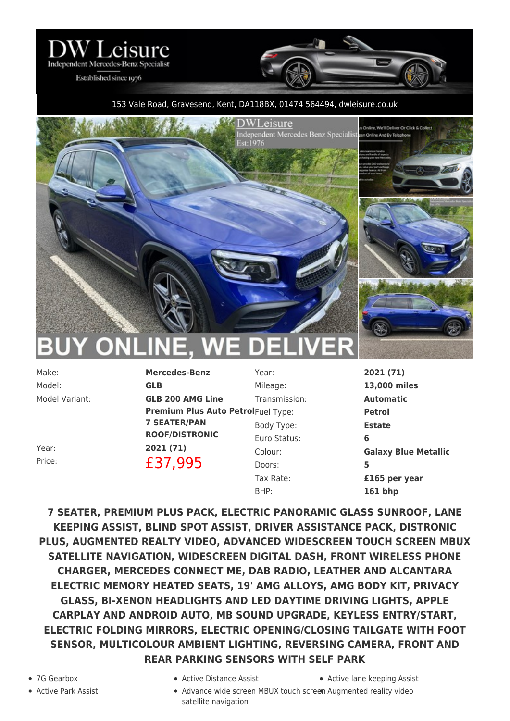

Established since 1976

## 153 Vale Road, Gravesend, Kent, DA118BX, 01474 564494, [dwleisure.co.uk](https://www.dwleisure.co.uk)



Model: **GLB**

Make: **Mercedes-Benz** Model Variant: **GLB 200 AMG Line Premium Plus Auto Petrol**Fuel Type: **Petrol 7 SEATER/PAN ROOF/DISTRONIC** Year: **2021 (71)** Price: **£37,995** 

Year: **2021 (71)** Mileage: **13,000 miles** Transmission: **Automatic** Body Type: **Estate** Euro Status: **6** Doors: **5** BHP: **161 bhp**

Colour: **Galaxy Blue Metallic** Tax Rate: **£165 per year**

**7 SEATER, PREMIUM PLUS PACK, ELECTRIC PANORAMIC GLASS SUNROOF, LANE KEEPING ASSIST, BLIND SPOT ASSIST, DRIVER ASSISTANCE PACK, DISTRONIC PLUS, AUGMENTED REALTY VIDEO, ADVANCED WIDESCREEN TOUCH SCREEN MBUX SATELLITE NAVIGATION, WIDESCREEN DIGITAL DASH, FRONT WIRELESS PHONE CHARGER, MERCEDES CONNECT ME, DAB RADIO, LEATHER AND ALCANTARA ELECTRIC MEMORY HEATED SEATS, 19' AMG ALLOYS, AMG BODY KIT, PRIVACY GLASS, BI-XENON HEADLIGHTS AND LED DAYTIME DRIVING LIGHTS, APPLE CARPLAY AND ANDROID AUTO, MB SOUND UPGRADE, KEYLESS ENTRY/START, ELECTRIC FOLDING MIRRORS, ELECTRIC OPENING/CLOSING TAILGATE WITH FOOT SENSOR, MULTICOLOUR AMBIENT LIGHTING, REVERSING CAMERA, FRONT AND REAR PARKING SENSORS WITH SELF PARK**

- 
- 7G Gearbox Active Distance Assist Active lane keeping Assist
	- Active Park Assist **Advance wide screen MBUX touch screen** Augmented reality video satellite navigation